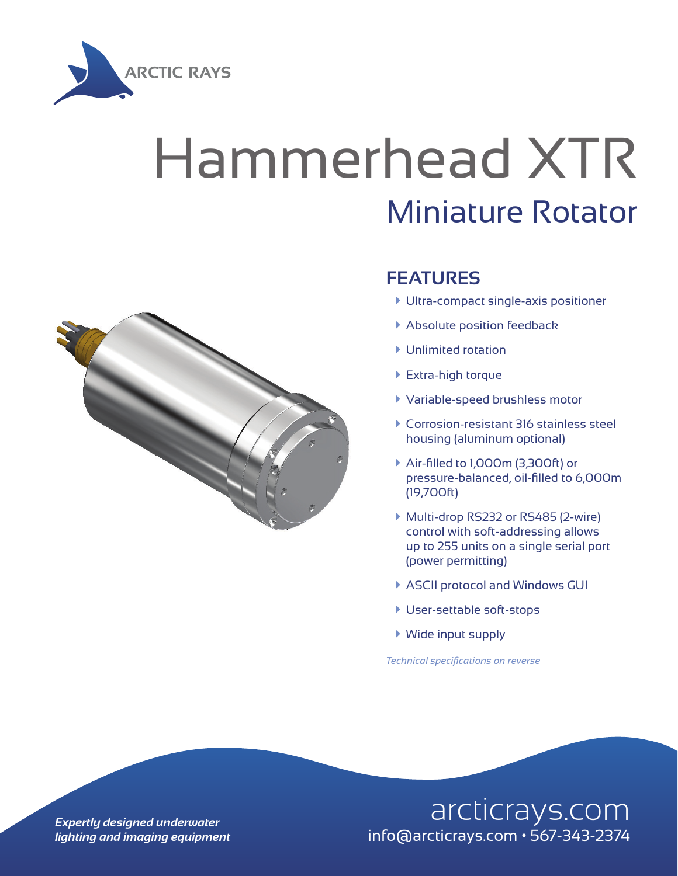

## Hammerhead XTR Miniature Rotator



## **FEATURES**

- $\blacktriangleright$  Ultra-compact single-axis positioner
- **Absolute position feedback**
- $\blacktriangleright$  Unlimited rotation
- ▶ Extra-high torque
- à Variable-speed brushless motor
- à Corrosion-resistant 316 stainless steel housing (aluminum optional)
- à Air-filled to 1,000m (3,300ft) or pressure-balanced, oil-filled to 6,000m (19,700ft)
- ▶ Multi-drop RS232 or RS485 (2-wire) control with soft-addressing allows up to 255 units on a single serial port (power permitting)
- ▶ ASCII protocol and Windows GUI
- **User-settable soft-stops**
- $\blacktriangleright$  Wide input supply

*Technical specifications on reverse*

## **Expertly designed underwater** and arcticrays.com *lighting and imaging equipment* info@arcticrays.com • 567-343-2374